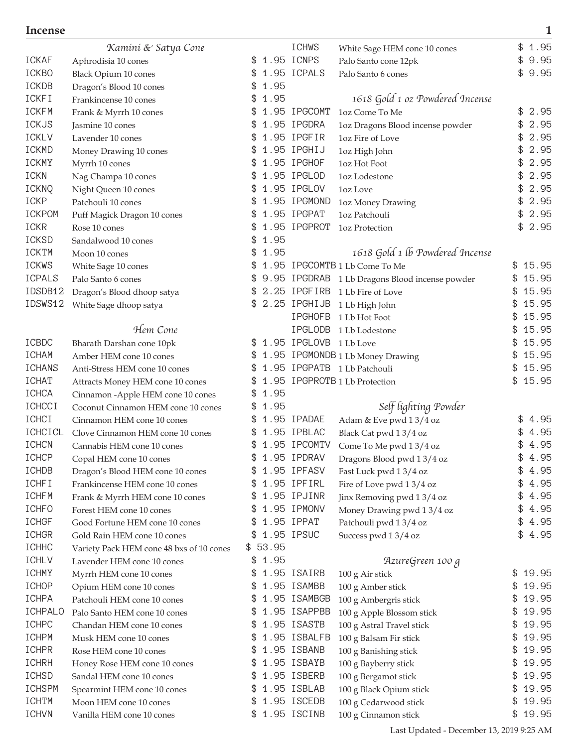|                              | Kamini & Satya Cone                       |     |         | <b>ICHWS</b>           | White Sage HEM cone 10 cones                                    |     | \$<br>1.95 |
|------------------------------|-------------------------------------------|-----|---------|------------------------|-----------------------------------------------------------------|-----|------------|
| <b>ICKAF</b>                 | Aphrodisia 10 cones                       | \$  |         | 1.95 ICNPS             | Palo Santo cone 12pk                                            |     | 9.95<br>\$ |
| ICKBO                        | <b>Black Opium 10 cones</b>               | \$  |         | 1.95 ICPALS            | Palo Santo 6 cones                                              |     | 9.95<br>\$ |
| ICKDB                        | Dragon's Blood 10 cones                   | \$  | 1.95    |                        |                                                                 |     |            |
| <b>ICKFI</b>                 | Frankincense 10 cones                     | \$  | 1.95    |                        | 1618 Gold 1 oz Powdered Incense                                 |     |            |
| <b>ICKFM</b>                 | Frank & Myrrh 10 cones                    |     |         | 1.95 IPGCOMT           | 1oz Come To Me                                                  |     | 2.95<br>\$ |
| ICKJS                        | Jasmine 10 cones                          | \$  |         | 1.95 IPGDRA            | 1oz Dragons Blood incense powder                                |     | 2.95<br>\$ |
| ICKLV                        | Lavender 10 cones                         |     |         | 1.95 IPGFIR            | 1oz Fire of Love                                                |     | 2.95<br>\$ |
| ICKMD                        | Money Drawing 10 cones                    |     |         | 1.95 IPGHIJ            | 1oz High John                                                   | \$  | 2.95       |
| ICKMY                        | Myrrh 10 cones                            |     |         | 1.95 IPGHOF            | 1oz Hot Foot                                                    | \$  | 2.95       |
| ICKN                         | Nag Champa 10 cones                       | \$  |         | 1.95 IPGLOD            | 1oz Lodestone                                                   | \$  | 2.95       |
| ICKNQ                        | Night Queen 10 cones                      | \$  |         | 1.95 IPGLOV            | 1oz Love                                                        | \$  | 2.95       |
| ICKP                         | Patchouli 10 cones                        | \$  |         | 1.95 IPGMOND           | 1oz Money Drawing                                               |     | 2.95<br>\$ |
| <b>ICKPOM</b>                | Puff Magick Dragon 10 cones               | \$  |         | 1.95 IPGPAT            | 1oz Patchouli                                                   |     | 2.95<br>\$ |
| ICKR                         | Rose 10 cones                             |     |         | 1.95 IPGPROT           | 1oz Protection                                                  |     | 2.95<br>\$ |
| ICKSD                        | Sandalwood 10 cones                       |     | 1.95    |                        |                                                                 |     |            |
| ICKTM                        | Moon 10 cones                             | \$  | 1.95    |                        | 1618 Gold 1 lb Powdered Incense                                 |     |            |
| <b>ICKWS</b>                 |                                           | \$  |         |                        | 1.95 IPGCOMTB 1 Lb Come To Me                                   | \$  | 15.95      |
| <b>ICPALS</b>                | White Sage 10 cones<br>Palo Santo 6 cones | \$  |         |                        | 9.95 IPGDRAB 1 Lb Dragons Blood incense powder                  | \$  | 15.95      |
| IDSDB12                      | Dragon's Blood dhoop satya                | \$  |         | 2.25 IPGFIRB           | 1 Lb Fire of Love                                               | \$  | 15.95      |
| IDSWS12                      |                                           |     |         | 2.25 IPGHIJB           |                                                                 |     | 15.95      |
|                              | White Sage dhoop satya                    |     |         | <b>IPGHOFB</b>         | 1 Lb High John<br>1 Lb Hot Foot                                 | \$  | 15.95      |
|                              | Hem Cone                                  |     |         | <b>IPGLODB</b>         |                                                                 |     | 15.95      |
| ICBDC                        |                                           | \$. |         | 1.95 IPGLOVB 1 Lb Love | 1 Lb Lodestone                                                  | \$  | 15.95      |
| <b>ICHAM</b>                 | Bharath Darshan cone 10pk                 |     |         |                        |                                                                 |     | 15.95      |
| <b>ICHANS</b>                | Amber HEM cone 10 cones                   | \$  |         |                        | 1.95 IPGMONDB 1 Lb Money Drawing<br>1.95 IPGPATB 1 Lb Patchouli | \$  | 15.95      |
|                              | Anti-Stress HEM cone 10 cones             |     |         |                        |                                                                 | \$  | 15.95      |
| <b>ICHAT</b><br><b>ICHCA</b> | Attracts Money HEM cone 10 cones          | \$  | 1.95    |                        | 1.95 IPGPROTB 1 Lb Protection                                   |     |            |
|                              | Cinnamon - Apple HEM cone 10 cones        | \$  |         |                        |                                                                 |     |            |
| ICHCCI                       | Coconut Cinnamon HEM cone 10 cones        | \$  | 1.95    |                        | Self lighting Powder                                            |     |            |
| ICHCI                        | Cinnamon HEM cone 10 cones                |     |         | 1.95 IPADAE            | Adam & Eve pwd 13/4 oz                                          |     | 4.95<br>\$ |
| ICHCICL                      | Clove Cinnamon HEM cone 10 cones          |     |         | 1.95 IPBLAC            | Black Cat pwd 13/4 oz                                           |     | 4.95       |
| <b>ICHCN</b>                 | Cannabis HEM cone 10 cones                |     |         | 1.95 IPCOMTV           | Come To Me pwd 13/4 oz                                          |     | 4.95       |
| <b>ICHCP</b>                 | Copal HEM cone 10 cones                   | \$  |         | 1.95 IPDRAV            | Dragons Blood pwd 13/4 oz                                       |     | 4.95<br>\$ |
| ICHDB                        | Dragon's Blood HEM cone 10 cones          | \$  |         | 1.95 IPFASV            | Fast Luck pwd 13/4 oz                                           |     | \$<br>4.95 |
| <b>ICHFI</b>                 | Frankincense HEM cone 10 cones            | P.  |         | 1.95 IPFIRL            | Fire of Love pwd 13/4 oz                                        | \$  | 4.95       |
| <b>ICHFM</b>                 | Frank & Myrrh HEM cone 10 cones           | \$  |         | 1.95 IPJINR            | Jinx Removing pwd 13/4 oz                                       |     | 4.95<br>\$ |
| ICHFO                        | Forest HEM cone 10 cones                  | \$  |         | 1.95 IPMONV            | Money Drawing pwd 13/4 oz                                       |     | 4.95<br>\$ |
| <b>ICHGF</b>                 | Good Fortune HEM cone 10 cones            | \$  |         | 1.95 IPPAT             | Patchouli pwd 13/4 oz                                           |     | \$<br>4.95 |
| <b>ICHGR</b>                 | Gold Rain HEM cone 10 cones               | \$  |         | 1.95 IPSUC             | Success pwd 13/4 oz                                             |     | 4.95<br>\$ |
| ICHHC                        | Variety Pack HEM cone 48 bxs of 10 cones  |     | \$53.95 |                        |                                                                 |     |            |
| <b>ICHLV</b>                 | Lavender HEM cone 10 cones                |     | \$1.95  |                        | AzureGreen 100 g                                                |     |            |
| ICHMY                        | Myrrh HEM cone 10 cones                   | \$  |         | 1.95 ISAIRB            | 100 g Air stick                                                 | \$  | 19.95      |
| ICHOP                        | Opium HEM cone 10 cones                   | \$  |         | 1.95 ISAMBB            | 100 g Amber stick                                               | \$  | 19.95      |
| ICHPA                        | Patchouli HEM cone 10 cones               | \$  |         | 1.95 ISAMBGB           | 100 g Ambergris stick                                           | \$  | 19.95      |
| ICHPALO                      | Palo Santo HEM cone 10 cones              | \$  |         | 1.95 ISAPPBB           | 100 g Apple Blossom stick                                       | \$  | 19.95      |
| ICHPC                        | Chandan HEM cone 10 cones                 | \$  |         | 1.95 ISASTB            | 100 g Astral Travel stick                                       | \$  | 19.95      |
| ICHPM                        | Musk HEM cone 10 cones                    | \$  |         | 1.95 ISBALFB           | 100 g Balsam Fir stick                                          | \$  | 19.95      |
| ICHPR                        | Rose HEM cone 10 cones                    | \$  |         | 1.95 ISBANB            | 100 g Banishing stick                                           | \$  | 19.95      |
| <b>ICHRH</b>                 | Honey Rose HEM cone 10 cones              | \$  |         | 1.95 ISBAYB            | 100 g Bayberry stick                                            | \$  | 19.95      |
| ICHSD                        | Sandal HEM cone 10 cones                  | £.  |         | 1.95 ISBERB            | 100 g Bergamot stick                                            | \$. | 19.95      |
| <b>ICHSPM</b>                | Spearmint HEM cone 10 cones               | \$  |         | 1.95 ISBLAB            | 100 g Black Opium stick                                         | \$  | 19.95      |
| ICHTM                        | Moon HEM cone 10 cones                    | \$  |         | 1.95 ISCEDB            | 100 g Cedarwood stick                                           | \$  | 19.95      |
| <b>ICHVN</b>                 | Vanilla HEM cone 10 cones                 |     |         | \$ 1.95 ISCINB         | 100 g Cinnamon stick                                            | \$  | 19.95      |

Last Updated - December 13, 2019 9:25 AM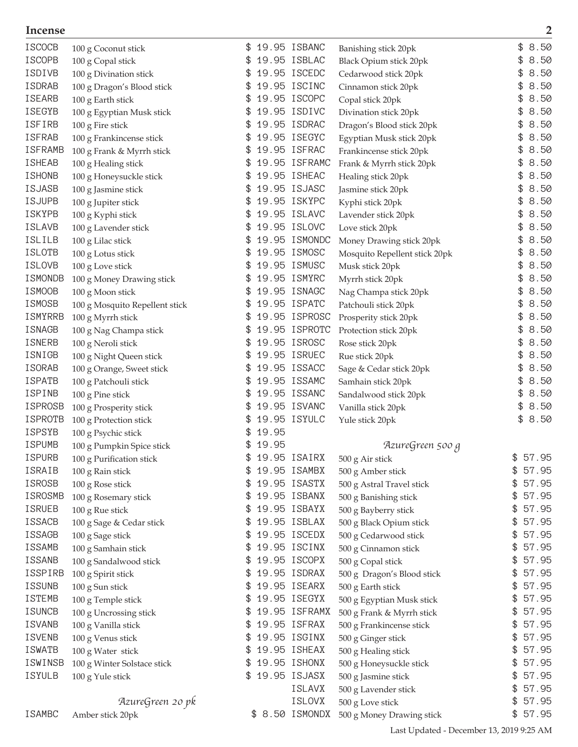| <b>ISCOCB</b>  | 100 g Coconut stick            | \$ |       | 19.95 ISBANC    | Banishing stick 20pk          | \$<br>8.50  |
|----------------|--------------------------------|----|-------|-----------------|-------------------------------|-------------|
| <b>ISCOPB</b>  | 100 g Copal stick              | \$ |       | 19.95 ISBLAC    | <b>Black Opium stick 20pk</b> | 8.50<br>\$  |
| ISDIVB         | 100 g Divination stick         | \$ |       | 19.95 ISCEDC    | Cedarwood stick 20pk          | 8.50<br>\$  |
| ISDRAB         | 100 g Dragon's Blood stick     |    |       | 19.95 ISCINC    | Cinnamon stick 20pk           | 8.50        |
| <b>ISEARB</b>  | 100 g Earth stick              | \$ |       | 19.95 ISCOPC    | Copal stick 20pk              | 8.50        |
| ISEGYB         | 100 g Egyptian Musk stick      |    |       | 19.95 ISDIVC    | Divination stick 20pk         | 8.50        |
| <b>ISFIRB</b>  | 100 g Fire stick               |    |       | 19.95 ISDRAC    | Dragon's Blood stick 20pk     | 8.50        |
| <b>ISFRAB</b>  | 100 g Frankincense stick       |    |       | 19.95 ISEGYC    | Egyptian Musk stick 20pk      | 8.50        |
| <b>ISFRAMB</b> | 100 g Frank & Myrrh stick      | \$ |       | 19.95 ISFRAC    | Frankincense stick 20pk       | 8.50<br>\$  |
| <b>ISHEAB</b>  | 100 g Healing stick            | \$ |       | 19.95 ISFRAMC   | Frank & Myrrh stick 20pk      | 8.50        |
| <b>ISHONB</b>  | 100 g Honeysuckle stick        | \$ |       | 19.95 ISHEAC    | Healing stick 20pk            | 8.50<br>\$  |
| <b>ISJASB</b>  | 100 g Jasmine stick            |    |       | 19.95 ISJASC    | Jasmine stick 20pk            | 8.50        |
| <b>ISJUPB</b>  | 100 g Jupiter stick            | \$ |       | 19.95 ISKYPC    | Kyphi stick 20pk              | 8.50<br>\$  |
| <b>ISKYPB</b>  | 100 g Kyphi stick              |    |       | 19.95 ISLAVC    | Lavender stick 20pk           | 8.50        |
| <b>ISLAVB</b>  | 100 g Lavender stick           |    |       | 19.95 ISLOVC    | Love stick 20pk               | 8.50        |
| ISLILB         | 100 g Lilac stick              | \$ |       | 19.95 ISMONDC   | Money Drawing stick 20pk      | 8.50<br>\$  |
| <b>ISLOTB</b>  | 100 g Lotus stick              | \$ |       | 19.95 ISMOSC    | Mosquito Repellent stick 20pk | 8.50<br>\$  |
| <b>ISLOVB</b>  | 100 g Love stick               | \$ |       | 19.95 ISMUSC    |                               | 8.50<br>\$  |
| ISMONDB        |                                |    |       | 19.95 ISMYRC    | Musk stick 20pk               | 8.50        |
| ISMOOB         | 100 g Money Drawing stick      | \$ |       | 19.95 ISNAGC    | Myrrh stick 20pk              | 8.50        |
| ISMOSB         | 100 g Moon stick               |    |       | 19.95 ISPATC    | Nag Champa stick 20pk         | 8.50        |
|                | 100 g Mosquito Repellent stick |    |       |                 | Patchouli stick 20pk          |             |
| <b>ISMYRRB</b> | 100 g Myrrh stick              |    |       | 19.95 ISPROSC   | Prosperity stick 20pk         | 8.50        |
| ISNAGB         | 100 g Nag Champa stick         |    |       | 19.95 ISPROTC   | Protection stick 20pk         | 8.50        |
| ISNERB         | 100 g Neroli stick             | \$ |       | 19.95 ISROSC    | Rose stick 20pk               | 8.50<br>\$  |
| ISNIGB         | 100 g Night Queen stick        | \$ |       | 19.95 ISRUEC    | Rue stick 20pk                | 8.50<br>\$  |
| ISORAB         | 100 g Orange, Sweet stick      | \$ |       | 19.95 ISSACC    | Sage & Cedar stick 20pk       | 8.50<br>\$  |
| <b>ISPATB</b>  | 100 g Patchouli stick          |    |       | 19.95 ISSAMC    | Samhain stick 20pk            | 8.50        |
| ISPINB         | 100 g Pine stick               | \$ |       | 19.95 ISSANC    | Sandalwood stick 20pk         | 8.50<br>\$  |
| <b>ISPROSB</b> | 100 g Prosperity stick         |    |       | 19.95 ISVANC    | Vanilla stick 20pk            | 8.50<br>\$  |
| <b>ISPROTB</b> | 100 g Protection stick         |    |       | 19.95 ISYULC    | Yule stick 20pk               | \$<br>8.50  |
| <b>ISPSYB</b>  | 100 g Psychic stick            | \$ | 19.95 |                 |                               |             |
| <b>ISPUMB</b>  | 100 g Pumpkin Spice stick      |    | 19.95 |                 | AzureGreen 500 g              |             |
| <b>ISPURB</b>  | 100 g Purification stick       |    |       | 19.95 ISAIRX    | 500 g Air stick               | \$<br>57.95 |
| ISRAIB         | 100 g Rain stick               |    |       | 19.95 ISAMBX    | 500 g Amber stick             | \$57.95     |
| ISROSB         | 100 g Rose stick               | £. |       | 19.95 ISASTX    | 500 g Astral Travel stick     | 57.95<br>\$ |
| ISROSMB        | 100 g Rosemary stick           | \$ |       | 19.95 ISBANX    | 500 g Banishing stick         | 57.95<br>\$ |
| <b>ISRUEB</b>  | 100 g Rue stick                | \$ |       | 19.95 ISBAYX    | 500 g Bayberry stick          | 57.95<br>\$ |
| <b>ISSACB</b>  | 100 g Sage & Cedar stick       | \$ |       | 19.95 ISBLAX    | 500 g Black Opium stick       | 57.95<br>\$ |
| ISSAGB         | 100 g Sage stick               | £. |       | 19.95 ISCEDX    | 500 g Cedarwood stick         | 57.95<br>\$ |
| ISSAMB         | 100 g Samhain stick            | \$ |       | 19.95 ISCINX    | 500 g Cinnamon stick          | 57.95<br>\$ |
| ISSANB         | 100 g Sandalwood stick         | £. |       | 19.95 ISCOPX    | 500 g Copal stick             | 57.95<br>\$ |
| ISSPIRB        | 100 g Spirit stick             | \$ |       | 19.95 ISDRAX    | 500 g Dragon's Blood stick    | 57.95<br>\$ |
| <b>ISSUNB</b>  | 100 g Sun stick                | \$ |       | 19.95 ISEARX    | 500 g Earth stick             | 57.95<br>\$ |
| ISTEMB         | 100 g Temple stick             | \$ |       | 19.95 ISEGYX    | 500 g Egyptian Musk stick     | 57.95<br>\$ |
| <b>ISUNCB</b>  | 100 g Uncrossing stick         | \$ |       | 19.95 ISFRAMX   | 500 g Frank & Myrrh stick     | 57.95<br>\$ |
| <b>ISVANB</b>  | 100 g Vanilla stick            | £. |       | 19.95 ISFRAX    | 500 g Frankincense stick      | 57.95<br>\$ |
| <b>ISVENB</b>  | 100 g Venus stick              | \$ |       | 19.95 ISGINX    | 500 g Ginger stick            | 57.95<br>\$ |
| ISWATB         | 100 g Water stick              |    |       | 19.95 ISHEAX    | 500 g Healing stick           | 57.95<br>\$ |
| ISWINSB        | 100 g Winter Solstace stick    | \$ |       | 19.95 ISHONX    | 500 g Honeysuckle stick       | 57.95<br>\$ |
| ISYULB         | 100 g Yule stick               | \$ |       | 19.95 ISJASX    | 500 g Jasmine stick           | 57.95<br>\$ |
|                |                                |    |       | ISLAVX          | 500 g Lavender stick          | 57.95<br>\$ |
|                | AzureGreen 20 pk               |    |       | ISLOVX          | 500 g Love stick              | 57.95<br>\$ |
| <b>ISAMBC</b>  | Amber stick 20pk               |    |       | \$ 8.50 ISMONDX | 500 g Money Drawing stick     | \$57.95     |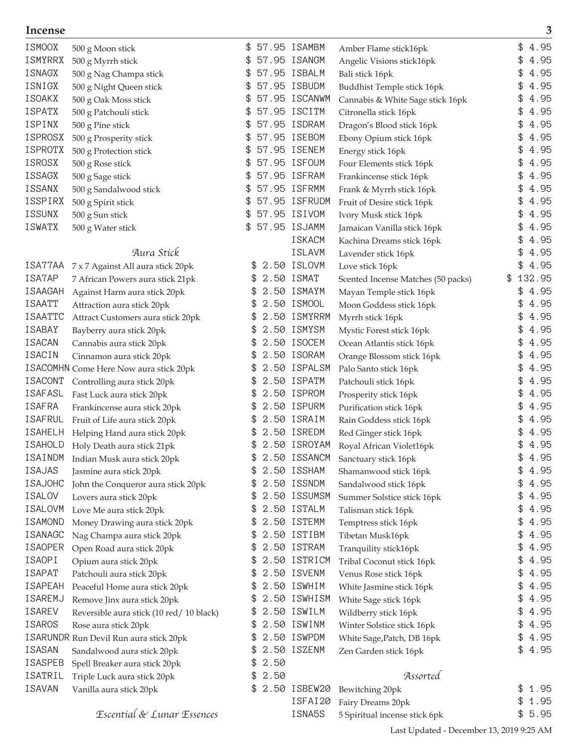| <b>ISMOOX</b>  | 500 g Moon stick                         | \$         | 57.95 ISAMBM    | Amber Flame stick16pk              | \$<br>4.95   |
|----------------|------------------------------------------|------------|-----------------|------------------------------------|--------------|
| ISMYRRX        | 500 g Myrrh stick                        |            | 57.95 ISANGM    | Angelic Visions stick16pk          | 4.95         |
| ISNAGX         | 500 g Nag Champa stick                   | \$         | 57.95 ISBALM    | Bali stick 16pk                    | 4.95         |
| ISNIGX         | 500 g Night Queen stick                  | \$         | 57.95 ISBUDM    | Buddhist Temple stick 16pk         | 4.95         |
| <b>ISOAKX</b>  | 500 g Oak Moss stick                     | \$         | 57.95 ISCANWM   | Cannabis & White Sage stick 16pk   | 4.95<br>\$   |
| <b>ISPATX</b>  | 500 g Patchouli stick                    |            | 57.95 ISCITM    | Citronella stick 16pk              | 4.95         |
| ISPINX         | 500 g Pine stick                         |            | 57.95 ISDRAM    | Dragon's Blood stick 16pk          | 4.95         |
| <b>ISPROSX</b> | 500 g Prosperity stick                   |            | 57.95 ISEBOM    | Ebony Opium stick 16pk             | 4.95         |
| <b>ISPROTX</b> | 500 g Protection stick                   | \$         | 57.95 ISENEM    | Energy stick 16pk                  | 4.95         |
| <b>ISROSX</b>  | 500 g Rose stick                         |            | 57.95 ISFOUM    | Four Elements stick 16pk           | 4.95         |
| <b>ISSAGX</b>  | 500 g Sage stick                         | \$         | 57.95 ISFRAM    | Frankincense stick 16pk            | 4.95         |
| ISSANX         | 500 g Sandalwood stick                   | \$         | 57.95 ISFRMM    | Frank & Myrrh stick 16pk           | 4.95<br>\$   |
| ISSPIRX        | 500 g Spirit stick                       | \$         | 57.95 ISFRUDM   | Fruit of Desire stick 16pk         | 4.95<br>\$   |
| ISSUNX         | 500 g Sun stick                          | \$         | 57.95 ISIVOM    | Ivory Musk stick 16pk              | 4.95         |
| ISWATX         | 500 g Water stick                        | \$         | 57.95 ISJAMM    | Jamaican Vanilla stick 16pk        | 4.95         |
|                |                                          |            | <b>ISKACM</b>   | Kachina Dreams stick 16pk          | 4.95         |
|                | Aura Stick                               |            | <b>ISLAVM</b>   | Lavender stick 16pk                | 4.95         |
| ISA77AA        | 7 x 7 Against All aura stick 20pk        | \$         | 2.50 ISLOVM     | Love stick 16pk                    | 4.95<br>\$   |
| ISA7AP         | 7 African Powers aura stick 21pk         | \$         | 2.50 ISMAT      | Scented Incense Matches (50 packs) | 132.95<br>\$ |
| <b>ISAAGAH</b> | Against Harm aura stick 20pk             | \$         | 2.50 ISMAYM     | Mayan Temple stick 16pk            | \$<br>4.95   |
| <b>ISAATT</b>  | Attraction aura stick 20pk               | \$         | 2.50 ISMOOL     | Moon Goddess stick 16pk            | 4.95         |
| <b>ISAATTC</b> | Attract Customers aura stick 20pk        | \$         | 2.50 ISMYRRM    | Myrrh stick 16pk                   | 4.95         |
| ISABAY         | Bayberry aura stick 20pk                 | \$         | 2.50 ISMYSM     | Mystic Forest stick 16pk           | 4.95         |
| <b>ISACAN</b>  | Cannabis aura stick 20pk                 |            | 2.50 ISOCEM     | Ocean Atlantis stick 16pk          | 4.95         |
| <b>ISACIN</b>  | Cinnamon aura stick 20pk                 |            | 2.50 ISORAM     | Orange Blossom stick 16pk          | 4.95         |
|                | ISACOMHN Come Here Now aura stick 20pk   | £.         | 2.50 ISPALSM    | Palo Santo stick 16pk              | 4.95<br>\$   |
| <b>ISACONT</b> | Controlling aura stick 20pk              | \$         | 2.50 ISPATM     | Patchouli stick 16pk               | 4.95<br>\$   |
| ISAFASL        | Fast Luck aura stick 20pk                | \$         | 2.50 ISPROM     | Prosperity stick 16pk              | 4.95         |
| <b>ISAFRA</b>  | Frankincense aura stick 20pk             | \$         | 2.50 ISPURM     | Purification stick 16pk            | 4.95         |
| <b>ISAFRUL</b> | Fruit of Life aura stick 20pk            | £.         | 2.50 ISRAIM     | Rain Goddess stick 16pk            | 4.95         |
| ISAHELH        | Helping Hand aura stick 20pk             | \$         | 2.50 ISREDM     | Red Ginger stick 16pk              | 4.95<br>\$   |
| <b>ISAHOLD</b> | Holy Death aura stick 21pk               |            | 2.50 ISROYAM    | Royal African Violet16pk           | 4.95         |
| ISAINDM        | Indian Musk aura stick 20pk              |            | 2.50 ISSANCM    | Sanctuary stick 16pk               | 4.95<br>\$   |
| <b>ISAJAS</b>  | Jasmine aura stick 20pk                  | \$         | 2.50 ISSHAM     | Shamanwood stick 16pk              | \$<br>4.95   |
| <b>ISAJOHC</b> | John the Conqueror aura stick 20pk       |            | 2.50 ISSNDM     | Sandalwood stick 16pk              | \$<br>4.95   |
| <b>ISALOV</b>  | Lovers aura stick 20pk                   | S.         | 2.50 ISSUMSM    | Summer Solstice stick 16pk         | 4.95<br>\$   |
| ISALOVM        | Love Me aura stick 20pk                  | £.         | 2.50 ISTALM     | Talisman stick 16pk                | 4.95<br>\$   |
| <b>ISAMOND</b> | Money Drawing aura stick 20pk            | \$         | 2.50 ISTEMM     | Temptress stick 16pk               | \$<br>4.95   |
| <b>ISANAGC</b> | Nag Champa aura stick 20pk               | \$         | 2.50 ISTIBM     | Tibetan Musk16pk                   | \$<br>4.95   |
| <b>ISAOPER</b> | Open Road aura stick 20pk                | \$         | 2.50 ISTRAM     | Tranquility stick16pk              | \$<br>4.95   |
| ISAOPI         | Opium aura stick 20pk                    | \$.        | 2.50 ISTRICM    | Tribal Coconut stick 16pk          | 4.95<br>\$   |
| <b>ISAPAT</b>  | Patchouli aura stick 20pk                | \$         | 2.50 ISVENM     | Venus Rose stick 16pk              | 4.95<br>\$   |
| <b>ISAPEAH</b> | Peaceful Home aura stick 20pk            | S.         | 2.50 ISWHIM     | White Jasmine stick 16pk           | \$<br>4.95   |
| ISAREMJ        | Remove Jinx aura stick 20pk              | S.         | 2.50 ISWHISM    | White Sage stick 16pk              | 4.95<br>\$   |
| <b>ISAREV</b>  | Reversible aura stick (10 red/ 10 black) | \$         | 2.50 ISWILM     | Wildberry stick 16pk               | 4.95<br>\$   |
| <b>ISAROS</b>  | Rose aura stick 20pk                     | \$         | 2.50 ISWINM     | Winter Solstice stick 16pk         | \$<br>4.95   |
|                | ISARUNDR Run Devil Run aura stick 20pk   | \$         | 2.50 ISWPDM     | White Sage, Patch, DB 16pk         | \$<br>4.95   |
| ISASAN         | Sandalwood aura stick 20pk               | \$         | 2.50 ISZENM     | Zen Garden stick 16pk              | 4.95<br>\$   |
| ISASPEB        | Spell Breaker aura stick 20pk            | 2.50<br>\$ |                 |                                    |              |
| ISATRIL        | Triple Luck aura stick 20pk              | \$2.50     |                 | Assorted                           |              |
| <b>ISAVAN</b>  | Vanilla aura stick 20pk                  |            | \$ 2.50 ISBEW20 | Bewitching 20pk                    | \$<br>1.95   |
|                |                                          |            | ISFAI20         | Fairy Dreams 20pk                  | \$<br>1.95   |
|                | Escential & Lunar Essences               |            | ISNA5S          | 5 Spiritual incense stick 6pk      | \$5.95       |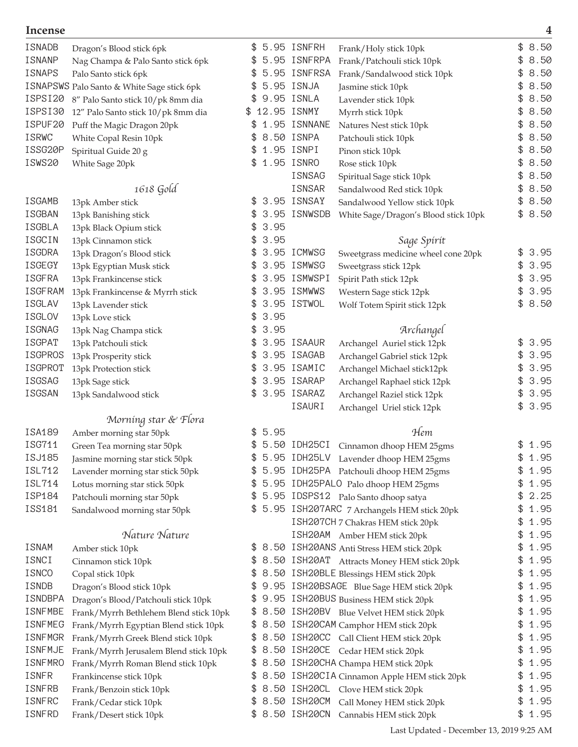| ISNADB<br><b>ISNANP</b> | Dragon's Blood stick 6pk<br>Nag Champa & Palo Santo stick 6pk | \$  |      | 5.95 ISNFRH<br>5.95 ISNFRPA | Frank/Holy stick 10pk<br>Frank/Patchouli stick 10pk | 8.50<br>8.50 |
|-------------------------|---------------------------------------------------------------|-----|------|-----------------------------|-----------------------------------------------------|--------------|
| <b>ISNAPS</b>           | Palo Santo stick 6pk                                          | \$  |      | 5.95 ISNFRSA                | Frank/Sandalwood stick 10pk                         | 8.50         |
|                         | ISNAPSWS Palo Santo & White Sage stick 6pk                    | \$  |      | 5.95 ISNJA                  | Jasmine stick 10pk                                  | 8.50         |
| ISPSI20                 | 8" Palo Santo stick 10/pk 8mm dia                             |     |      | 9.95 ISNLA                  | Lavender stick 10pk                                 | 8.50         |
| ISPSI30                 | 12" Palo Santo stick 10/pk 8mm dia                            | \$  |      | 12.95 ISNMY                 | Myrrh stick 10pk                                    | 8.50         |
| ISPUF20                 | Puff the Magic Dragon 20pk                                    |     |      | 1.95 ISNNANE                | Natures Nest stick 10pk                             | 8.50         |
| <b>ISRWC</b>            | White Copal Resin 10pk                                        |     |      | 8.50 ISNPA                  | Patchouli stick 10pk                                | 8.50         |
| ISSG20P                 | Spiritual Guide 20 g                                          |     |      | 1.95 ISNPI                  | Pinon stick 10pk                                    | 8.50         |
| ISWS20                  | White Sage 20pk                                               | \$. |      | 1.95 ISNRO                  | Rose stick 10pk                                     | 8.50         |
|                         |                                                               |     |      | ISNSAG                      | Spiritual Sage stick 10pk                           | 8.50         |
|                         | 1618 Gold                                                     |     |      | ISNSAR                      | Sandalwood Red stick 10pk                           | 8.50         |
| ISGAMB                  | 13pk Amber stick                                              | \$  |      | 3.95 ISNSAY                 | Sandalwood Yellow stick 10pk                        | \$<br>8.50   |
| <b>ISGBAN</b>           | 13pk Banishing stick                                          |     |      | 3.95 ISNWSDB                | White Sage/Dragon's Blood stick 10pk                | \$<br>8.50   |
| <b>ISGBLA</b>           | 13pk Black Opium stick                                        |     | 3.95 |                             |                                                     |              |
| <b>ISGCIN</b>           | 13pk Cinnamon stick                                           |     | 3.95 |                             | Sage Spirit                                         |              |
| <b>ISGDRA</b>           | 13pk Dragon's Blood stick                                     | \$. |      | 3.95 ICMWSG                 | Sweetgrass medicine wheel cone 20pk                 | \$<br>3.95   |
| ISGEGY                  | 13pk Egyptian Musk stick                                      | \$  |      | 3.95 ISMWSG                 | Sweetgrass stick 12pk                               | \$<br>3.95   |
| <b>ISGFRA</b>           | 13pk Frankincense stick                                       | \$  |      | 3.95 ISMWSPI                | Spirit Path stick 12pk                              | \$<br>3.95   |
| <b>ISGFRAM</b>          | 13pk Frankincense & Myrrh stick                               | \$  |      | 3.95 ISMWWS                 | Western Sage stick 12pk                             | 3.95         |
| ISGLAV                  | 13pk Lavender stick                                           | \$  |      | 3.95 ISTWOL                 | Wolf Totem Spirit stick 12pk                        | \$<br>8.50   |
| <b>ISGLOV</b>           | 13pk Love stick                                               |     | 3.95 |                             |                                                     |              |
| <b>ISGNAG</b>           | 13pk Nag Champa stick                                         |     | 3.95 |                             | Archangel                                           |              |
| <b>ISGPAT</b>           | 13pk Patchouli stick                                          |     |      | 3.95 ISAAUR                 | Archangel Auriel stick 12pk                         | \$<br>3.95   |
| <b>ISGPROS</b>          | 13pk Prosperity stick                                         | \$  |      | 3.95 ISAGAB                 | Archangel Gabriel stick 12pk                        | \$<br>3.95   |
| <b>ISGPROT</b>          | 13pk Protection stick                                         | \$  |      | 3.95 ISAMIC                 | Archangel Michael stick12pk                         | \$<br>3.95   |
| ISGSAG                  | 13pk Sage stick                                               | \$  |      | 3.95 ISARAP                 | Archangel Raphael stick 12pk                        | \$<br>3.95   |
| ISGSAN                  | 13pk Sandalwood stick                                         | \$  |      | 3.95 ISARAZ                 | Archangel Raziel stick 12pk                         | \$<br>3.95   |
|                         |                                                               |     |      | ISAURI                      | Archangel Uriel stick 12pk                          | \$<br>3.95   |
|                         | Morning star & Flora                                          |     |      |                             |                                                     |              |
| ISA189                  | Amber morning star 50pk                                       | \$. | 5.95 |                             | Hem                                                 |              |
| ISG711                  | Green Tea morning star 50pk                                   |     |      | 5.50 IDH25CI                | Cinnamon dhoop HEM 25gms                            | \$<br>1.95   |
| ISJ185                  | Jasmine morning star stick 50pk                               |     |      | 5.95 IDH25LV                | Lavender dhoop HEM 25gms                            | \$<br>1.95   |
| ISL712                  | Lavender morning star stick 50pk                              |     |      |                             | 5.95 IDH25PA Patchouli dhoop HEM 25gms              | \$<br>1.95   |
| ISL714                  | Lotus morning star stick 50pk                                 | \$  |      |                             | 5.95 IDH25PALO Palo dhoop HEM 25gms                 | \$<br>1.95   |
| ISP184                  | Patchouli morning star 50pk                                   | \$  |      |                             | 5.95 IDSPS12 Palo Santo dhoop satya                 | \$<br>2.25   |
| ISS181                  | Sandalwood morning star 50pk                                  |     |      |                             | 5.95 ISH207ARC 7 Archangels HEM stick 20pk          | \$<br>1.95   |
|                         |                                                               |     |      |                             | I SH207CH 7 Chakras HEM stick 20pk                  | \$<br>1.95   |
|                         | Nature Nature                                                 |     |      |                             | ISH20AM Amber HEM stick 20pk                        | \$<br>1.95   |
| <b>ISNAM</b>            | Amber stick 10pk                                              | \$  |      |                             | 8.50 ISH20ANS Anti Stress HEM stick 20pk            | \$<br>1.95   |
| ISNCI                   | Cinnamon stick 10pk                                           | S.  |      |                             | 8.50 ISH20AT Attracts Money HEM stick 20pk          | \$<br>1.95   |
| <b>ISNCO</b>            | Copal stick 10pk                                              | \$. |      |                             | 8.50 ISH20BLE Blessings HEM stick 20pk              | \$<br>1.95   |
| ISNDB                   | Dragon's Blood stick 10pk                                     | £.  |      |                             | 9.95 ISH20BSAGE Blue Sage HEM stick 20pk            | \$<br>1.95   |
| ISNDBPA                 | Dragon's Blood/Patchouli stick 10pk                           | \$  |      |                             | 9.95 ISH20BUS Business HEM stick 20pk               | \$<br>1.95   |
| <b>ISNFMBE</b>          | Frank/Myrrh Bethlehem Blend stick 10pk                        | \$. |      |                             | 8.50 ISH20BV Blue Velvet HEM stick 20pk             | \$<br>1.95   |
| <b>ISNFMEG</b>          | Frank/Myrrh Egyptian Blend stick 10pk                         | \$  |      |                             | 8.50 ISH20CAM Camphor HEM stick 20pk                | \$<br>1.95   |
| <b>ISNFMGR</b>          | Frank/Myrrh Greek Blend stick 10pk                            | \$  |      |                             | 8.50 ISH20CC Call Client HEM stick 20pk             | \$<br>1.95   |
| <b>ISNFMJE</b>          | Frank/Myrrh Jerusalem Blend stick 10pk                        | \$  |      |                             | 8.50 ISH20CE Cedar HEM stick 20pk                   | \$<br>1.95   |
| <b>ISNFMRO</b>          | Frank/Myrrh Roman Blend stick 10pk                            |     |      |                             | \$ 8.50 ISH20CHA Champa HEM stick 20pk              | 1.95         |
| ISNFR                   | Frankincense stick 10pk                                       | S.  |      |                             | 8.50 ISH20CIA Cinnamon Apple HEM stick 20pk         | \$<br>1.95   |
| <b>ISNFRB</b>           | Frank/Benzoin stick 10pk                                      | \$. |      |                             | 8.50 ISH20CL Clove HEM stick 20pk                   | \$<br>1.95   |
| <b>ISNFRC</b>           | Frank/Cedar stick 10pk                                        | \$  |      | 8.50 ISH20CM                | Call Money HEM stick 20pk                           | \$<br>1.95   |
| ISNFRD                  | Frank/Desert stick 10pk                                       | \$  |      |                             | 8.50 ISH20CN Cannabis HEM stick 20pk                | \$<br>1.95   |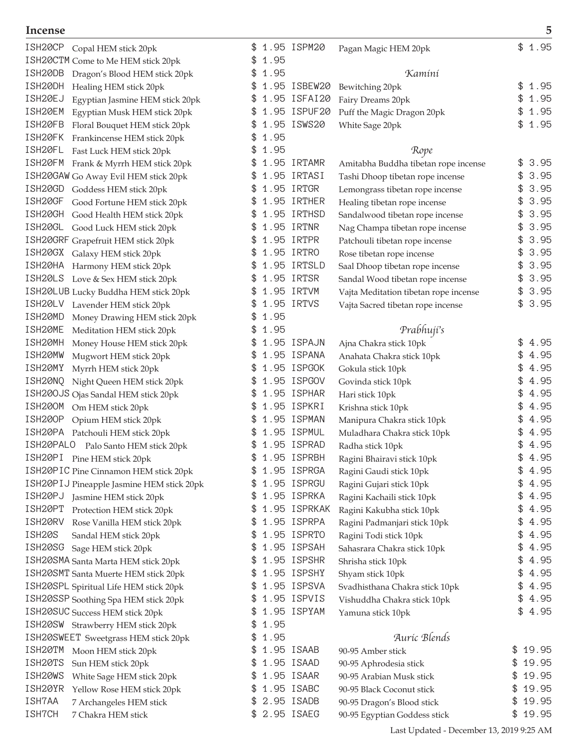| ISH20CP<br>Copal HEM stick 20pk            |               | 1.95 ISPM20  | Pagan Magic HEM 20pk                  | \$<br>1.95  |
|--------------------------------------------|---------------|--------------|---------------------------------------|-------------|
| ISH20CTM Come to Me HEM stick 20pk         | 1.95<br>\$    |              |                                       |             |
| ISH20DB<br>Dragon's Blood HEM stick 20pk   | 1.95<br>\$    |              | Kamini                                |             |
| ISH20DH<br>Healing HEM stick 20pk          | \$            | 1.95 ISBEW20 | Bewitching 20pk                       | 1.95<br>\$  |
| ISH20EJ<br>Egyptian Jasmine HEM stick 20pk |               | 1.95 ISFAI20 | Fairy Dreams 20pk                     | 1.95<br>\$  |
| ISH20EM<br>Egyptian Musk HEM stick 20pk    | \$            | 1.95 ISPUF20 | Puff the Magic Dragon 20pk            | 1.95<br>\$  |
| ISH20FB<br>Floral Bouquet HEM stick 20pk   |               | 1.95 ISWS20  | White Sage 20pk                       | 1.95<br>\$  |
| ISH20FK<br>Frankincense HEM stick 20pk     | 1.95          |              |                                       |             |
| ISH20FL<br>Fast Luck HEM stick 20pk        | 1.95          |              | Rope                                  |             |
| ISH20FM<br>Frank & Myrrh HEM stick 20pk    | \$            | 1.95 IRTAMR  | Amitabha Buddha tibetan rope incense  | 3.95<br>\$  |
| ISH20GAW Go Away Evil HEM stick 20pk       | \$            | 1.95 IRTASI  | Tashi Dhoop tibetan rope incense      | 3.95<br>\$  |
| ISH20GD<br>Goddess HEM stick 20pk          | \$            | 1.95 IRTGR   | Lemongrass tibetan rope incense       | 3.95<br>\$  |
| ISH20GF<br>Good Fortune HEM stick 20pk     |               | 1.95 IRTHER  | Healing tibetan rope incense          | 3.95        |
| ISH20GH<br>Good Health HEM stick 20pk      |               | 1.95 IRTHSD  | Sandalwood tibetan rope incense       | 3.95<br>\$  |
| ISH20GL Good Luck HEM stick 20pk           |               | 1.95 IRTNR   | Nag Champa tibetan rope incense       | 3.95        |
| ISH20GRF Grapefruit HEM stick 20pk         |               | 1.95 IRTPR   | Patchouli tibetan rope incense        | 3.95<br>\$  |
| ISH20GX Galaxy HEM stick 20pk              |               | 1.95 IRTRO   | Rose tibetan rope incense             | 3.95<br>\$  |
| ISH20HA Harmony HEM stick 20pk             |               | 1.95 IRTSLD  | Saal Dhoop tibetan rope incense       | 3.95<br>\$  |
| ISH20LS Love & Sex HEM stick 20pk          | \$            | 1.95 IRTSR   | Sandal Wood tibetan rope incense      | 3.95<br>\$  |
| ISH20LUB Lucky Buddha HEM stick 20pk       |               | 1.95 IRTVM   | Vajta Meditation tibetan rope incense | 3.95<br>\$  |
| ISH20LV Lavender HEM stick 20pk            | S             | 1.95 IRTVS   | Vajta Sacred tibetan rope incense     | 3.95<br>\$  |
| ISH20MD<br>Money Drawing HEM stick 20pk    | 1.95          |              |                                       |             |
| ISH20ME<br>Meditation HEM stick 20pk       | 1.95          |              | Prabhuji's                            |             |
| ISH20MH<br>Money House HEM stick 20pk      |               | 1.95 ISPAJN  | Ajna Chakra stick 10pk                | 4.95        |
| ISH20MW<br>Mugwort HEM stick 20pk          | \$            | 1.95 ISPANA  | Anahata Chakra stick 10pk             | 4.95<br>\$  |
| ISH20MY<br>Myrrh HEM stick 20pk            |               | 1.95 ISPGOK  | Gokula stick 10pk                     | \$<br>4.95  |
| ISH20NQ<br>Night Queen HEM stick 20pk      | \$            | 1.95 ISPGOV  | Govinda stick 10pk                    | 4.95<br>\$  |
| ISH200JS Ojas Sandal HEM stick 20pk        |               | 1.95 ISPHAR  | Hari stick 10pk                       | 4.95        |
| ISH200M<br>Om HEM stick 20pk               |               | 1.95 ISPKRI  | Krishna stick 10pk                    | 4.95<br>\$  |
| <b>ISH200P</b><br>Opium HEM stick 20pk     |               | 1.95 ISPMAN  | Manipura Chakra stick 10pk            | 4.95        |
| ISH20PA Patchouli HEM stick 20pk           |               | 1.95 ISPMUL  | Muladhara Chakra stick 10pk           | 4.95        |
| ISH20PALO<br>Palo Santo HEM stick 20pk     |               | 1.95 ISPRAD  | Radha stick 10pk                      | 4.95        |
| ISH20PI Pine HEM stick 20pk                | \$            | 1.95 ISPRBH  | Ragini Bhairavi stick 10pk            | \$<br>4.95  |
| ISH20PIC Pine Cinnamon HEM stick 20pk      | \$            | 1.95 ISPRGA  | Ragini Gaudi stick 10pk               | \$<br>4.95  |
| ISH20PIJ Pineapple Jasmine HEM stick 20pk  |               | 1.95 ISPRGU  | Ragini Gujari stick 10pk              | 4.95<br>\$  |
| ISH20PJ Jasmine HEM stick 20pk             | \$            | 1.95 ISPRKA  | Ragini Kachaili stick 10pk            | 4.95<br>\$  |
| ISH20PT<br>Protection HEM stick 20pk       | \$            | 1.95 ISPRKAK | Ragini Kakubha stick 10pk             | 4.95<br>\$  |
| ISH20RV<br>Rose Vanilla HEM stick 20pk     | \$            | 1.95 ISPRPA  | Ragini Padmanjari stick 10pk          | 4.95<br>\$  |
| ISH20S<br>Sandal HEM stick 20pk            | \$            | 1.95 ISPRTO  | Ragini Todi stick 10pk                | \$<br>4.95  |
| ISH20SG<br>Sage HEM stick 20pk             | \$            | 1.95 ISPSAH  | Sahasrara Chakra stick 10pk           | 4.95<br>\$  |
| ISH20SMA Santa Marta HEM stick 20pk        | \$            | 1.95 ISPSHR  | Shrisha stick 10pk                    | 4.95<br>\$  |
| ISH20SMT Santa Muerte HEM stick 20pk       | P.            | 1.95 ISPSHY  | Shyam stick 10pk                      | 4.95<br>\$  |
| ISH20SPL Spiritual Life HEM stick 20pk     | \$            | 1.95 ISPSVA  | Svadhisthana Chakra stick 10pk        | \$4.95      |
| ISH20SSP Soothing Spa HEM stick 20pk       | \$            | 1.95 ISPVIS  | Vishuddha Chakra stick 10pk           | \$4.95      |
| ISH20SUC Success HEM stick 20pk            | \$            | 1.95 ISPYAM  | Yamuna stick 10pk                     | \$4.95      |
| ISH20SW Strawberry HEM stick 20pk          | 1.95<br>\$    |              |                                       |             |
| ISH20SWEET Sweetgrass HEM stick 20pk       | 1.95<br>\$    |              | Auric Blends                          |             |
| ISH20TM Moon HEM stick 20pk                | \$            | 1.95 ISAAB   | 90-95 Amber stick                     | 19.95<br>\$ |
| ISH20TS<br>Sun HEM stick 20pk              |               | 1.95 ISAAD   | 90-95 Aphrodesia stick                | 19.95<br>\$ |
| ISH20WS<br>White Sage HEM stick 20pk       |               | 1.95 ISAAR   | 90-95 Arabian Musk stick              | 19.95<br>\$ |
| ISH20YR<br>Yellow Rose HEM stick 20pk      | \$            | 1.95 ISABC   | 90-95 Black Coconut stick             | 19.95<br>\$ |
| ISH7AA<br>7 Archangeles HEM stick          | \$            | 2.95 ISADB   | 90-95 Dragon's Blood stick            | 19.95<br>\$ |
| ISH7CH<br>7 Chakra HEM stick               | \$ 2.95 ISAEG |              | 90-95 Egyptian Goddess stick          | \$<br>19.95 |

Last Updated - December 13, 2019 9:25 AM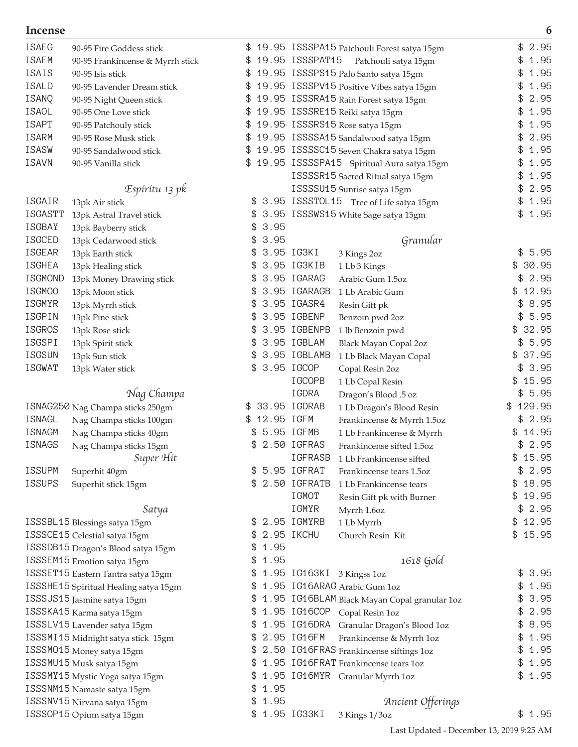| <b>ISAFG</b>   | 90-95 Fire Goddess stick              |                 | 19.95 ISSSPA15 Patchouli Forest satya 15gm             | \$<br>2.95  |
|----------------|---------------------------------------|-----------------|--------------------------------------------------------|-------------|
| ISAFM          | 90-95 Frankincense & Myrrh stick      |                 | 19.95 ISSSPAT15 Patchouli satya 15gm                   | 1.95        |
| ISAIS          | 90-95 Isis stick                      |                 | 19.95 ISSSPS15 Palo Santo satya 15gm                   | 1.95        |
| ISALD          | 90-95 Lavender Dream stick            | £.              | 19.95 ISSSPV15 Positive Vibes satya 15gm               | 1.95        |
| ISANQ          | 90-95 Night Queen stick               |                 | 19.95 ISSSRA15 Rain Forest satya 15gm                  | 2.95        |
| ISAOL          | 90-95 One Love stick                  |                 | 19.95 ISSSRE15 Reiki satya 15gm                        | 1.95        |
| ISAPT          | 90-95 Patchouly stick                 |                 | 19.95 ISSSRS15 Rose satya 15gm                         | 1.95        |
| ISARM          | 90-95 Rose Musk stick                 | £.              | 19.95 ISSSSA15 Sandalwood satya 15gm                   | 2.95        |
| ISASW          | 90-95 Sandalwood stick                |                 | 19.95 ISSSSC15 Seven Chakra satya 15gm                 | 1.95        |
| <b>ISAVN</b>   | 90-95 Vanilla stick                   |                 | \$ 19.95 ISSSSPA15 Spiritual Aura satya 15gm           | 1.95        |
|                |                                       |                 | ISSSSR15 Sacred Ritual satya 15gm                      | 1.95        |
|                | Espíritu 13 pk                        |                 | ISSSSU15 Sunrise satya 15gm                            | 2.95        |
| ISGAIR         | 13pk Air stick                        | \$.             | 3.95 ISSSTOL15 Tree of Life satya 15gm                 | \$<br>1.95  |
| <b>ISGASTT</b> | 13pk Astral Travel stick              |                 | 3.95 ISSSWS15 White Sage satya 15gm                    | 1.95<br>\$  |
| ISGBAY         |                                       | 3.95<br>\$      |                                                        |             |
| ISGCED         | 13pk Bayberry stick                   | 3.95<br>\$      | Granular                                               |             |
| ISGEAR         | 13pk Cedarwood stick                  |                 | 3.95 IG3KI                                             | \$5.95      |
|                | 13pk Earth stick                      |                 | 3 Kings 2oz                                            | 30.95<br>\$ |
| <b>ISGHEA</b>  | 13pk Healing stick                    |                 | 3.95 IG3KIB<br>1 Lb 3 Kings                            |             |
| ISGMOND        | 13pk Money Drawing stick              | S               | 3.95 IGARAG<br>Arabic Gum 1.5oz                        | \$2.95      |
| ISGM00         | 13pk Moon stick                       | S               | 3.95 IGARAGB<br>1 Lb Arabic Gum                        | 12.95<br>\$ |
| ISGMYR         | 13pk Myrrh stick                      | \$              | 3.95 IGASR4<br>Resin Gift pk                           | \$<br>8.95  |
| ISGPIN         | 13pk Pine stick                       | \$              | 3.95 IGBENP<br>Benzoin pwd 2oz                         | 5.95<br>\$  |
| ISGROS         | 13pk Rose stick                       | S               | 3.95 IGBENPB<br>1 lb Benzoin pwd                       | 32.95<br>\$ |
| ISGSPI         | 13pk Spirit stick                     | £.              | 3.95 IGBLAM<br>Black Mayan Copal 2oz                   | \$5.95      |
| ISGSUN         | 13pk Sun stick                        |                 | \$ 3.95 IGBLAMB<br>1 Lb Black Mayan Copal              | \$37.95     |
| <b>ISGWAT</b>  | 13pk Water stick                      | \$ 3.95 IGCOP   | Copal Resin 2oz                                        | \$3.95      |
|                |                                       |                 | IGCOPB<br>1 Lb Copal Resin                             | 15.95<br>\$ |
|                | Nag Champa                            |                 | IGDRA<br>Dragon's Blood .5 oz                          | \$<br>5.95  |
|                | ISNAG250 Nag Champa sticks 250gm      | \$ 33.95 IGDRAB | 1 Lb Dragon's Blood Resin                              | \$129.95    |
| ISNAGL         | Nag Champa sticks 100gm               | \$12.95 IGFM    | Frankincense & Myrrh 1.5oz                             | \$2.95      |
| ISNAGM         | Nag Champa sticks 40gm                |                 | 5.95 IGFMB<br>1 Lb Frankincense & Myrrh                | 14.95<br>\$ |
| ISNAGS         | Nag Champa sticks 15gm                |                 | 2.50 IGFRAS<br>Frankincense sifted 1.5oz               | \$2.95      |
|                | Super Hit                             |                 | IGFRASB<br>1 Lb Frankincense sifted                    | \$15.95     |
| <b>ISSUPM</b>  | Superhit 40gm                         | \$              | 5.95 IGFRAT<br>Frankincense tears 1.5oz                | \$2.95      |
| <b>ISSUPS</b>  | Superhit stick 15gm                   |                 | \$ 2.50 IGFRATB<br>$1\,\mathrm{Lb}$ Frankincense tears | \$18.95     |
|                |                                       |                 | IGMOT<br>Resin Gift pk with Burner                     | \$19.95     |
|                | Satya                                 |                 | IGMYR<br>Myrrh 1.6oz                                   | \$2.95      |
|                | ISSSBL15 Blessings satya 15gm         |                 | \$ 2.95 IGMYRB<br>1 Lb Myrrh                           | \$12.95     |
|                | ISSSCE15 Celestial satya 15gm         | \$              | 2.95 IKCHU<br>Church Resin Kit                         | \$15.95     |
|                | ISSSDB15 Dragon's Blood satya 15gm    | 1.95<br>\$      |                                                        |             |
|                | ISSSEM15 Emotion satya 15gm           | \$1.95          | 1618 Gold                                              |             |
|                | ISSSET15 Eastern Tantra satya 15gm    |                 | \$ 1.95 IG163KI 3 Kingss 1oz                           | \$<br>3.95  |
|                | ISSSHE15 Spiritual Healing satya 15gm |                 | \$1.95 IG16ARAG Arabic Gum 1oz                         | \$<br>1.95  |
|                | ISSSJS15 Jasmine satya 15gm           |                 | \$1.95 IG16BLAM Black Mayan Copal granular 1oz         | 3.95        |
|                | ISSSKA15 Karma satya 15gm             |                 | \$ 1.95 IG16COP Copal Resin 1oz                        | 2.95        |
|                | ISSSLV15 Lavender satya 15gm          | \$              | 1.95 IG16DRA Granular Dragon's Blood 1oz               | 8.95<br>\$  |
|                | ISSSMI15 Midnight satya stick 15gm    | \$              | 2.95 IG16FM<br>Frankincense & Myrrh 1oz                | 1.95<br>\$  |
|                | ISSSM015 Money satya 15gm             |                 | \$ 2.50 IG16FRAS Frankincense siftings 1oz             | 1.95<br>\$  |
|                | ISSSMU15 Musk satya 15gm              | \$.             | 1.95 IG16FRAT Frankincense tears 1oz                   | 1.95<br>\$  |
|                | ISSSMY15 Mystic Yoga satya 15gm       |                 | \$1.95 IG16MYR Granular Myrrh 1oz                      | \$1.95      |
|                | ISSSNM15 Namaste satya 15gm           | \$1.95          |                                                        |             |
|                | ISSSNV15 Nirvana satya 15gm           | \$1.95          | Ancient Offerings                                      |             |
|                | ISSSOP15 Opium satya 15gm             |                 | \$1.95 IG33KI<br>3 Kings 1/3oz                         | \$1.95      |
|                |                                       |                 |                                                        |             |

Last Updated - December 13, 2019 9:25 AM